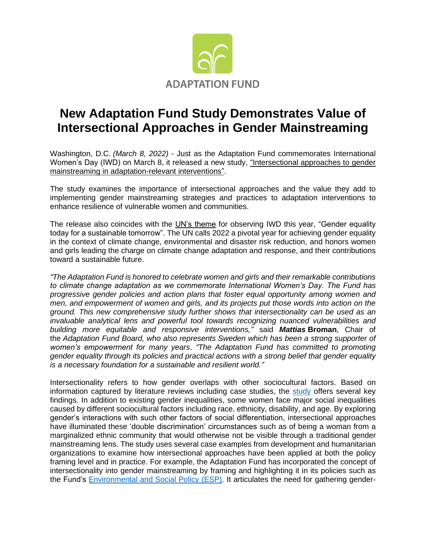

## **New Adaptation Fund Study Demonstrates Value of Intersectional Approaches in Gender Mainstreaming**

Washington, D.C. *(March 8, 2022)* - Just as the Adaptation Fund commemorates International Women's Day (IWD) on March 8, it released a new study, ["Intersectional approaches to gender](https://www.adaptation-fund.org/wp-content/uploads/2022/02/AF-Final-Version_clean16Feb2022.pdf)  [mainstreaming in adaptation-relevant interventions".](https://www.adaptation-fund.org/wp-content/uploads/2022/02/AF-Final-Version_clean16Feb2022.pdf)

The study examines the importance of intersectional approaches and the value they add to implementing gender mainstreaming strategies and practices to adaptation interventions to enhance resilience of vulnerable women and communities.

The release also coincides with the [UN's theme](https://www.unwomen.org/en/news-and-events/events/2022/02/international-womens-day-2022) for observing IWD this year, "Gender equality today for a sustainable tomorrow". The UN calls 2022 a pivotal year for achieving gender equality in the context of climate change, environmental and disaster risk reduction, and honors women and girls leading the charge on climate change adaptation and response, and their contributions toward a sustainable future.

*"The Adaptation Fund is honored to celebrate women and girls and their remarkable contributions to climate change adaptation as we commemorate International Women's Day. The Fund has progressive gender policies and action plans that foster equal opportunity among women and men, and empowerment of women and girls, and its projects put those words into action on the ground. This new comprehensive study further shows that intersectionality can be used as an invaluable analytical lens and powerful tool towards recognizing nuanced vulnerabilities and building more equitable and responsive interventions,"* said *Mattias* **Broman**, Chair of the *Adaptation Fund Board, who also represents Sweden which has been a strong supporter of women's empowerment for many years*. *"The Adaptation Fund has committed to promoting gender equality through its policies and practical actions with a strong belief that gender equality is a necessary foundation for a sustainable and resilient world."*

Intersectionality refers to how gender overlaps with other sociocultural factors. Based on information captured by literature reviews including case studies, the [study](https://www.adaptation-fund.org/wp-content/uploads/2022/02/AF-Final-Version_clean16Feb2022.pdf) offers several key findings. In addition to existing gender inequalities, some women face major social inequalities caused by different sociocultural factors including race, ethnicity, disability, and age. By exploring gender's interactions with such other factors of social differentiation, intersectional approaches have illuminated these 'double discrimination' circumstances such as of being a woman from a marginalized ethnic community that would otherwise not be visible through a traditional gender mainstreaming lens. The study uses several case examples from development and humanitarian organizations to examine how intersectional approaches have been applied at both the policy framing level and in practice. For example, the Adaptation Fund has incorporated the concept of intersectionality into gender mainstreaming by framing and highlighting it in its policies such as the Fund's **Environmental and Social Policy (ESP)**. It articulates the need for gathering gender-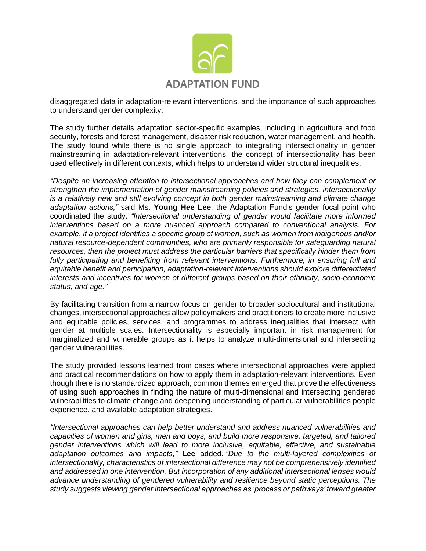

disaggregated data in adaptation-relevant interventions, and the importance of such approaches to understand gender complexity.

The study further details adaptation sector-specific examples, including in agriculture and food security, forests and forest management, disaster risk reduction, water management, and health. The study found while there is no single approach to integrating intersectionality in gender mainstreaming in adaptation-relevant interventions, the concept of intersectionality has been used effectively in different contexts, which helps to understand wider structural inequalities.

*"Despite an increasing attention to intersectional approaches and how they can complement or strengthen the implementation of gender mainstreaming policies and strategies, intersectionality is a relatively new and still evolving concept in both gender mainstreaming and climate change adaptation actions,"* said Ms. **Young Hee Lee**, the Adaptation Fund's gender focal point who coordinated the study. *"Intersectional understanding of gender would facilitate more informed interventions based on a more nuanced approach compared to conventional analysis. For example, if a project identifies a specific group of women, such as women from indigenous and/or natural resource-dependent communities, who are primarily responsible for safeguarding natural resources, then the project must address the particular barriers that specifically hinder them from fully participating and benefiting from relevant interventions. Furthermore, in ensuring full and equitable benefit and participation, adaptation-relevant interventions should explore differentiated interests and incentives for women of different groups based on their ethnicity, socio-economic status, and age."*

By facilitating transition from a narrow focus on gender to broader sociocultural and institutional changes, intersectional approaches allow policymakers and practitioners to create more inclusive and equitable policies, services, and programmes to address inequalities that intersect with gender at multiple scales. Intersectionality is especially important in risk management for marginalized and vulnerable groups as it helps to analyze multi-dimensional and intersecting gender vulnerabilities.

The study provided lessons learned from cases where intersectional approaches were applied and practical recommendations on how to apply them in adaptation-relevant interventions. Even though there is no standardized approach, common themes emerged that prove the effectiveness of using such approaches in finding the nature of multi-dimensional and intersecting gendered vulnerabilities to climate change and deepening understanding of particular vulnerabilities people experience, and available adaptation strategies.

*"Intersectional approaches can help better understand and address nuanced vulnerabilities and capacities of women and girls, men and boys, and build more responsive, targeted, and tailored gender interventions which will lead to more inclusive, equitable, effective, and sustainable adaptation outcomes and impacts,"* **Lee** added. *"Due to the multi-layered complexities of intersectionality, characteristics of intersectional difference may not be comprehensively identified and addressed in one intervention. But incorporation of any additional intersectional lenses would advance understanding of gendered vulnerability and resilience beyond static perceptions. The study suggests viewing gender intersectional approaches as 'process or pathways' toward greater*